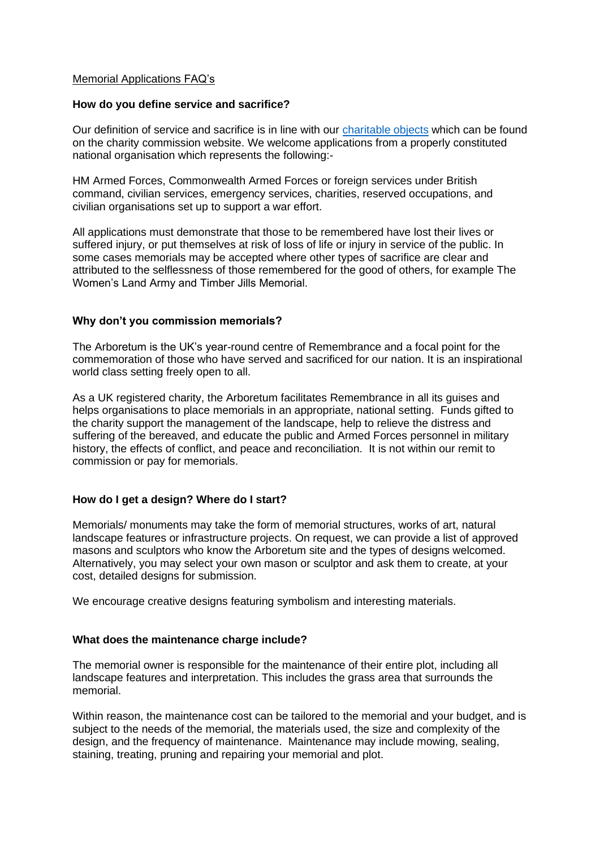### Memorial Applications FAQ's

## **How do you define service and sacrifice?**

Our definition of service and sacrifice is in line with our [charitable objects](https://beta.charitycommission.gov.uk/charity-details/?regid=1043992&subid=0) which can be found on the charity commission website. We welcome applications from a properly constituted national organisation which represents the following:-

HM Armed Forces, Commonwealth Armed Forces or foreign services under British command, civilian services, emergency services, charities, reserved occupations, and civilian organisations set up to support a war effort.

All applications must demonstrate that those to be remembered have lost their lives or suffered injury, or put themselves at risk of loss of life or injury in service of the public. In some cases memorials may be accepted where other types of sacrifice are clear and attributed to the selflessness of those remembered for the good of others, for example The Women's Land Army and Timber Jills Memorial.

## **Why don't you commission memorials?**

The Arboretum is the UK's year-round centre of Remembrance and a focal point for the commemoration of those who have served and sacrificed for our nation. It is an inspirational world class setting freely open to all.

As a UK registered charity, the Arboretum facilitates Remembrance in all its guises and helps organisations to place memorials in an appropriate, national setting. Funds gifted to the charity support the management of the landscape, help to relieve the distress and suffering of the bereaved, and educate the public and Armed Forces personnel in military history, the effects of conflict, and peace and reconciliation. It is not within our remit to commission or pay for memorials.

# **How do I get a design? Where do I start?**

Memorials/ monuments may take the form of memorial structures, works of art, natural landscape features or infrastructure projects. On request, we can provide a list of approved masons and sculptors who know the Arboretum site and the types of designs welcomed. Alternatively, you may select your own mason or sculptor and ask them to create, at your cost, detailed designs for submission.

We encourage creative designs featuring symbolism and interesting materials.

#### **What does the maintenance charge include?**

The memorial owner is responsible for the maintenance of their entire plot, including all landscape features and interpretation. This includes the grass area that surrounds the memorial.

Within reason, the maintenance cost can be tailored to the memorial and your budget, and is subject to the needs of the memorial, the materials used, the size and complexity of the design, and the frequency of maintenance. Maintenance may include mowing, sealing, staining, treating, pruning and repairing your memorial and plot.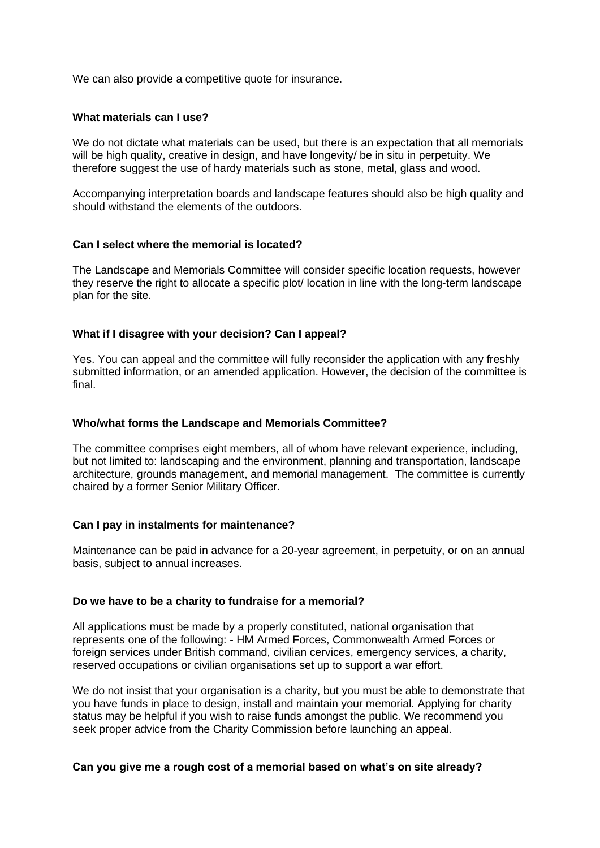We can also provide a competitive quote for insurance.

## **What materials can I use?**

We do not dictate what materials can be used, but there is an expectation that all memorials will be high quality, creative in design, and have longevity/ be in situ in perpetuity. We therefore suggest the use of hardy materials such as stone, metal, glass and wood.

Accompanying interpretation boards and landscape features should also be high quality and should withstand the elements of the outdoors.

## **Can I select where the memorial is located?**

The Landscape and Memorials Committee will consider specific location requests, however they reserve the right to allocate a specific plot/ location in line with the long-term landscape plan for the site.

# **What if I disagree with your decision? Can I appeal?**

Yes. You can appeal and the committee will fully reconsider the application with any freshly submitted information, or an amended application. However, the decision of the committee is final.

### **Who/what forms the Landscape and Memorials Committee?**

The committee comprises eight members, all of whom have relevant experience, including, but not limited to: landscaping and the environment, planning and transportation, landscape architecture, grounds management, and memorial management. The committee is currently chaired by a former Senior Military Officer.

# **Can I pay in instalments for maintenance?**

Maintenance can be paid in advance for a 20-year agreement, in perpetuity, or on an annual basis, subject to annual increases.

#### **Do we have to be a charity to fundraise for a memorial?**

All applications must be made by a properly constituted, national organisation that represents one of the following: - HM Armed Forces, Commonwealth Armed Forces or foreign services under British command, civilian cervices, emergency services, a charity, reserved occupations or civilian organisations set up to support a war effort.

We do not insist that your organisation is a charity, but you must be able to demonstrate that you have funds in place to design, install and maintain your memorial. Applying for charity status may be helpful if you wish to raise funds amongst the public. We recommend you seek proper advice from the Charity Commission before launching an appeal.

#### **Can you give me a rough cost of a memorial based on what's on site already?**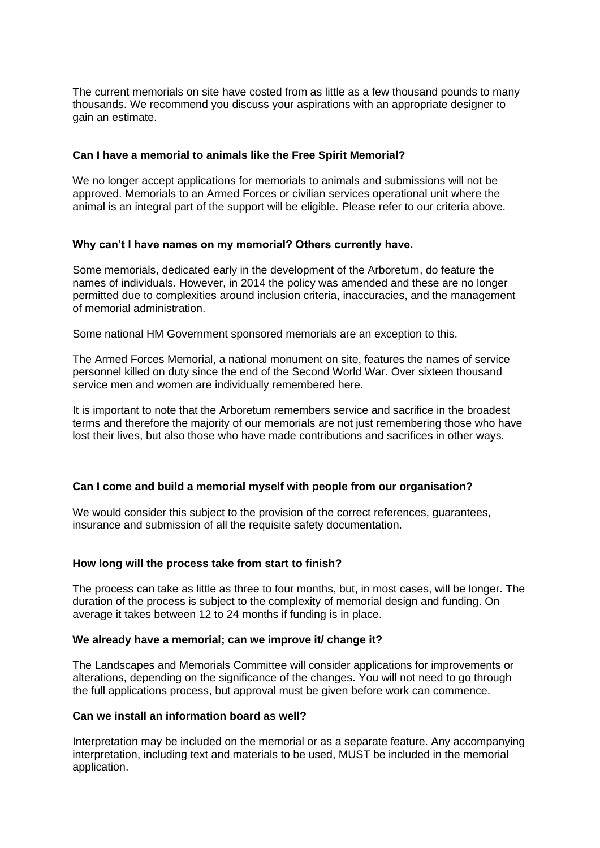The current memorials on site have costed from as little as a few thousand pounds to many thousands. We recommend you discuss your aspirations with an appropriate designer to gain an estimate.

## **Can I have a memorial to animals like the Free Spirit Memorial?**

We no longer accept applications for memorials to animals and submissions will not be approved. Memorials to an Armed Forces or civilian services operational unit where the animal is an integral part of the support will be eligible. Please refer to our criteria above.

## **Why can't I have names on my memorial? Others currently have.**

Some memorials, dedicated early in the development of the Arboretum, do feature the names of individuals. However, in 2014 the policy was amended and these are no longer permitted due to complexities around inclusion criteria, inaccuracies, and the management of memorial administration.

Some national HM Government sponsored memorials are an exception to this.

The Armed Forces Memorial, a national monument on site, features the names of service personnel killed on duty since the end of the Second World War. Over sixteen thousand service men and women are individually remembered here.

It is important to note that the Arboretum remembers service and sacrifice in the broadest terms and therefore the majority of our memorials are not just remembering those who have lost their lives, but also those who have made contributions and sacrifices in other ways.

# **Can I come and build a memorial myself with people from our organisation?**

We would consider this subject to the provision of the correct references, guarantees, insurance and submission of all the requisite safety documentation.

# **How long will the process take from start to finish?**

The process can take as little as three to four months, but, in most cases, will be longer. The duration of the process is subject to the complexity of memorial design and funding. On average it takes between 12 to 24 months if funding is in place.

#### **We already have a memorial; can we improve it/ change it?**

The Landscapes and Memorials Committee will consider applications for improvements or alterations, depending on the significance of the changes. You will not need to go through the full applications process, but approval must be given before work can commence.

#### **Can we install an information board as well?**

Interpretation may be included on the memorial or as a separate feature. Any accompanying interpretation, including text and materials to be used, MUST be included in the memorial application.